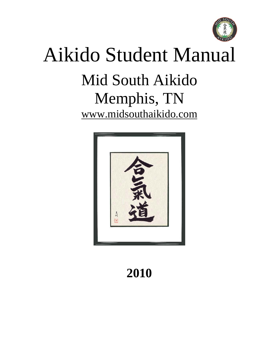

# Aikido Student Manual Mid South Aikido Memphis, TN [www.midsouthaikido.com](http://www.aikidoassociationofarkansas.com/)



## **2010**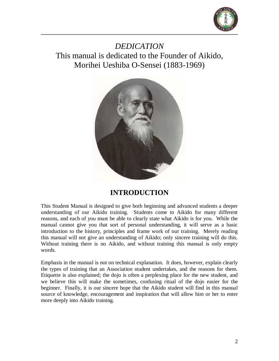

*DEDICATION* This manual is dedicated to the Founder of Aikido, Morihei Ueshiba O-Sensei (1883-1969)



#### **INTRODUCTION**

This Student Manual is designed to give both beginning and advanced students a deeper understanding of our Aikido training. Students come to Aikido for many different reasons, and each of you must be able to clearly state what Aikido is for you. While the manual cannot give you that sort of personal understanding, it will serve as a basic introduction to the history, principles and frame work of our training. Merely reading this manual will not give an understanding of Aikido; only sincere training will do this. Without training there is no Aikido, and without training this manual is only empty words.

Emphasis in the manual is not on technical explanation. It does, however, explain clearly the types of training that an Association student undertakes, and the reasons for them. Etiquette is also explained; the dojo is often a perplexing place for the new student, and we believe this will make the sometimes, confusing ritual of the dojo easier for the beginner. Finally, it is our sincere hope that the Aikido student will find in this manual source of knowledge, encouragement and inspiration that will allow him or her to enter more deeply into Aikido training.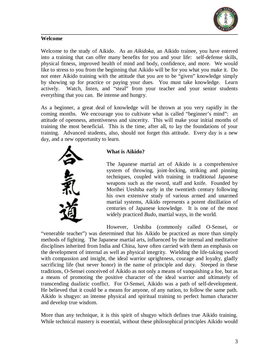

#### **Welcome**

Welcome to the study of Aikido. As an *Aikidoka*, an Aikido trainee, you have entered into a training that can offer many benefits for you and your life: self-defense skills, physical fitness, improved health of mind and body, confidence, and more. We would like to stress to you from the beginning that Aikido will be for you what you make it. Do not enter Aikido training with the attitude that you are to be "given" knowledge simply by showing up for practice or paying your dues. You must take knowledge. Learn actively. Watch, listen, and "steal" from your teacher and your senior students everything that you can. Be intense and hungry.

As a beginner, a great deal of knowledge will be thrown at you very rapidly in the coming months. We encourage you to cultivate what is called "beginner's mind": an attitude of openness, attentiveness and sincerity. This will make your initial months of training the most beneficial. This is the time, after all, to lay the foundations of your training. Advanced students, also, should not forget this attitude. Every day is a new day, and a new opportunity to learn.



#### **What is Aikido?**

The Japanese martial art of Aikido is a comprehensive system of throwing, joint-locking, striking and pinning techniques, coupled with training in traditional Japanese weapons such as the sword, staff and knife. Founded by Morihei Ueshiba early in the twentieth century following his own extensive study of various armed and unarmed martial systems, Aikido represents a potent distillation of centuries of Japanese knowledge. It is one of the most widely practiced *Budo*, martial ways, in the world.

However, Ueshiba (commonly called O-Sensei, or

"venerable teacher") was determined that his Aikido be practiced as more than simply methods of fighting. The Japanese martial arts, influenced by the internal and meditative disciplines inherited from India and China, have often carried with them an emphasis on the development of internal as well as physical integrity. Wielding the life-taking sword with compassion and insight, the ideal warrior uprightness, courage and loyalty, gladly sacrificing life (but never honor) in the name of principle and duty. Steeped in these traditions, O-Sensei conceived of Aikido as not only a means of vanquishing a foe, but as a means of promoting the positive character of the ideal warrior and ultimately of transcending dualistic conflict. For O-Sensei, Aikido was a path of self-development. He believed that it could be a means for anyone, of any nation, to follow the same path. Aikido is shugyo: an intense physical and spiritual training to perfect human character and develop true wisdom.

More than any technique, it is this spirit of shugyo which defines true Aikido training. While technical mastery is essential, without these philosophical principles Aikido would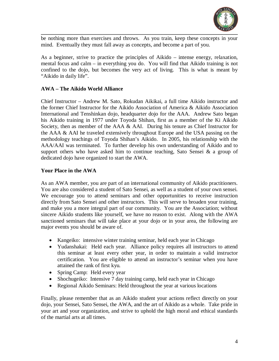

be nothing more than exercises and throws. As you train, keep these concepts in your mind. Eventually they must fall away as concepts, and become a part of you.

As a beginner, strive to practice the principles of Aikido – intense energy, relaxation, mental focus and calm – in everything you do. You will find that Aikido training is not confined to the dojo, but becomes the very act of living. This is what is meant by "Aikido in daily life".

#### **AWA – The Aikido World Alliance**

Chief Instructor – Andrew M. Sato, Rokudan Aikikai, a full time Aikido instructor and the former Chief Instructor for the Aikido Association of America & Aikido Association International and Tenshinkan dojo, headquarter dojo for the AAA. Andrew Sato began his Aikido training in 1977 under Toyoda Shihan, first as a member of the Ki Aikido Society, then as member of the AAA & AAI. During his tenure as Chief Instructor for the AAA & AAI he traveled extensively throughout Europe and the USA passing on the methodology teachings of Toyoda Shihan's Aikido. In 2005, his relationship with the AAA/AAI was terminated. To further develop his own understanding of Aikido and to support others who have asked him to continue teaching, Sato Sensei  $\&$  a group of dedicated dojo have organized to start the AWA.

#### **Your Place in the AWA**

As an AWA member, you are part of an international community of Aikido practitioners. You are also considered a student of Sato Sensei, as well as a student of your own sensei. We encourage you to attend seminars and other opportunities to receive instruction directly from Sato Sensei and other instructors. This will serve to broaden your training, and make you a more integral part of our community. You are the Association; without sincere Aikido students like yourself, we have no reason to exist. Along with the AWA sanctioned seminars that will take place at your dojo or in your area, the following are major events you should be aware of.

- Kangeiko: intensive winter training seminar, held each year in Chicago
- Yudanshakai: Held each year. Alliance policy requires all instructors to attend this seminar at least every other year, in order to maintain a valid instructor certification. You are eligible to attend an instructor's seminar when you have attained the rank of first kyu.
- Spring Camp: Held every year
- Shochugeiko: Intensive 7 day training camp, held each year in Chicago
- Regional Aikido Seminars: Held throughout the year at various locations

Finally, please remember that as an Aikido student your actions reflect directly on your dojo, your Sensei, Sato Sensei, the AWA, and the art of Aikido as a whole. Take pride in your art and your organization, and strive to uphold the high moral and ethical standards of the martial arts at all times.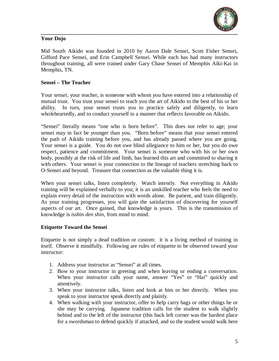

#### **Your Dojo**

Mid South Aikido was founded in 2010 by Aaron Dale Sensei, Scott Fisher Sensei, Gifford Pace Sensei, and Erin Campbell Sensei. While each has had many instructors throughout training, all were trained under Gary Chase Sensei of Memphis Aiki-Kai in Memphis, TN.

#### **Sensei – The Teacher**

Your *sensei*, your teacher, is someone with whom you have entered into a relationship of mutual trust. You trust your sensei to teach you the art of Aikido to the best of his or her ability. In turn, your sensei trusts you to practice safely and diligently, to learn wholeheartedly, and to conduct yourself in a manner that reflects favorable on Aikido.

"Sensei" literally means "one who is born before". This does not refer to age; your sensei may in fact be younger than you. "Born before" means that your sensei entered the path of Aikido training before you, and has already passed where you are going. Your sensei is a guide. You do not owe blind allegiance to him or her, but you do owe respect, patience and commitment. Your sensei is someone who with his or her own body, possibly at the risk of life and limb, has learned this art and committed to sharing it with others. Your sensei is your connection to the lineage of teachers stretching back to O-Sensei and beyond. Treasure that connection as the valuable thing it is.

When your sensei talks, listen completely. Watch intently. Not everything in Aikido training will be explained verbally to you; it is an unskilled teacher who feels the need to explain every detail of the instruction with words alone. Be patient, and train diligently. As your training progresses, you will gain the satisfaction of discovering for yourself aspects of our art. Once gained, that knowledge is yours. This is the transmission of knowledge is *isshin den shin*, from mind to mind.

#### **Etiquette Toward the Sensei**

Etiquette is not simply a dead tradition or custom: it is a living method of training in itself. Observe it mindfully. Following are rules of etiquette to be observed toward your instructor:

- 1. Address your instructor as "Sensei" at all times.
- 2. Bow to your instructor in greeting and when leaving or ending a conversation. When your instructor calls your name, answer "Yes" or "Hai" quickly and attentively.
- 3. When your instructor talks, listen and look at him or her directly. When you speak to your instructor speak directly and plainly.
- 4. When walking with your instructor, offer to help carry bags or other things he or she may be carrying. Japanese tradition calls for the student to walk slightly behind and to the left of the instructor (this back left corner was the hardest place for a swordsman to defend quickly if attacked, and so the student would walk here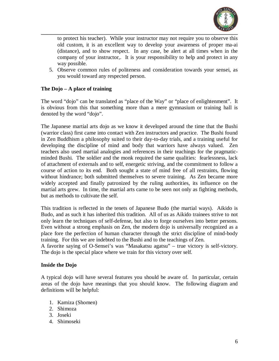

to protect his teacher). While your instructor may not require you to observe this old custom, it is an excellent way to develop your awareness of proper ma-ai (distance), and to show respect. In any case, be alert at all times when in the company of your instructor,. It is your responsibility to help and protect in any way possible.

5. Observe common rules of politeness and consideration towards your sensei, as you would toward any respected person.

#### **The Dojo – A place of training**

The word "dojo" can be translated as "place of the Way" or "place of enlightenment". It is obvious from this that something more than a mere gymnasium or training hall is denoted by the word "dojo".

The Japanese martial arts dojo as we know it developed around the time that the Bushi (warrior class) first came into contact with Zen instructors and practice. The Bushi found in Zen Buddhism a philosophy suited to their day-to-day trials, and a training useful for developing the discipline of mind and body that warriors have always valued. Zen teachers also used martial analogies and references in their teachings for the pragmaticminded Bushi. The soldier and the monk required the same qualities: fearlessness, lack of attachment of externals and to self, energetic striving, and the commitment to follow a course of action to its end. Both sought a state of mind free of all restraints, flowing without hindrance; both submitted themselves to severe training. As Zen became more widely accepted and finally patronized by the ruling authorities, its influence on the martial arts grew. In time, the martial arts came to be seen not only as fighting methods, but as methods to cultivate the self.

This tradition is reflected in the tenets of Japanese Budo (the martial ways). Aikido is Budo, and as such it has inherited this tradition. All of us as Aikido trainees strive to not only learn the techniques of self-defense, but also to forge ourselves into better persons. Even without a strong emphasis on Zen, the modern dojo is universally recognized as a place fore the perfection of human character through the strict discipline of mind-body training. For this we are indebted to the Bushi and to the teachings of Zen.

A favorite saying of O-Sensei's was "Masakatsu agatsu" – true victory is self-victory. The dojo is the special place where we train for this victory over self.

#### **Inside the Dojo**

A typical dojo will have several features you should be aware of. In particular, certain areas of the dojo have meanings that you should know. The following diagram and definitions will be helpful:

- 1. Kamiza (Shomen)
- 2. Shimoza
- 3. Joseki
- 4. Shimoseki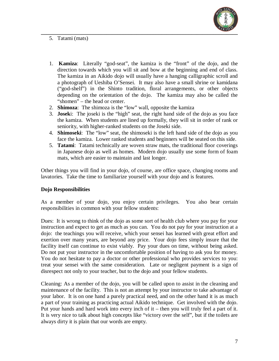

5. Tatami (mats)

- 1. **Kamiza**: Literally "god-seat", the kamiza is the "front" of the dojo, and the direction towards which you will sit and bow at the beginning and end of class. The kamiza in an Aikido dojo will usually have a hanging calligraphic scroll and a photograph of Ueshiba O'Sensei. It may also have a small shrine or kamidana ("god-shelf") in the Shinto tradition, floral arrangements, or other objects depending on the orientation of the dojo. The kamiza may also be called the "shomen" – the head or center.
- 2. **Shimoza**: The shimoza is the "low" wall, opposite the kamiza
- 3. **Josek**i: The joseki is the "high" seat, the right hand side of the dojo as you face the kamiza. When students are lined up formally, they will sit in order of rank or seniority, with higher-ranked students on the Joseki side.
- 4. **Shimoseki**: The "low" seat, the shimoseki is the left hand side of the dojo as you face the kamiza. Lower ranked students and beginners will be seated on this side.
- 5. **Tatami**: Tatami technically are woven straw mats, the traditional floor coverings in Japanese dojo as well as homes. Modern dojo usually use some form of foam mats, which are easier to maintain and last longer.

Other things you will find in your dojo, of course, are office space, changing rooms and lavatories. Take the time to familiarize yourself with your dojo and is features.

#### **Dojo Responsibilities**

As a member of your dojo, you enjoy certain privileges. You also bear certain responsibilities in common with your fellow students:

Dues: It is wrong to think of the dojo as some sort of health club where you pay for your instruction and expect to get as much as you can. You do not pay for your instruction at a dojo: the teachings you will receive, which your sensei has learned with great effort and exertion over many years, are beyond any price. Your dojo fees simply insure that the facility itself can continue to exist viably. Pay your dues on time, without being asked. Do not put your instructor in the uncomfortable position of having to ask you for money. You do not hesitate to pay a doctor or other professional who provides services to you: treat your sensei with the same consideration. Late or negligent payment is a sign of disrespect not only to your teacher, but to the dojo and your fellow students.

Cleaning: As a member of the dojo, you will be called upon to assist in the cleaning and maintenance of the facility. This is not an attempt by your instructor to take advantage of your labor. It is on one hand a purely practical need, and on the other hand it is as much a part of your training as practicing actual Aikido technique. Get involved with the dojo. Put your hands and hard work into every inch of it – then you will truly feel a part of it. It is very nice to talk about high concepts like "victory over the self", but if the toilets are always dirty it is plain that our words are empty.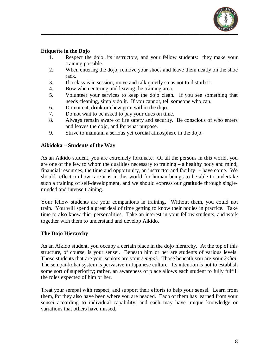

#### **Etiquette in the Dojo**

- 1. Respect the dojo, its instructors, and your fellow students: they make your training possible.
- 2. When entering the dojo, remove your shoes and leave them neatly on the shoe rack.
- 3. If a class is in session, move and talk quietly so as not to disturb it.
- 4. Bow when entering and leaving the training area.
- 5. Volunteer your services to keep the dojo clean. If you see something that needs cleaning, simply do it. If you cannot, tell someone who can.
- 6. Do not eat, drink or chew gum within the dojo.
- 7. Do not wait to be asked to pay your dues on time.
- 8. Always remain aware of fire safety and security. Be conscious of who enters and leaves the dojo, and for what purpose.
- 9. Strive to maintain a serious yet cordial atmosphere in the dojo.

#### **Aikidoka – Students of the Way**

As an Aikido student, you are extremely fortunate. Of all the persons in this world, you are one of the few to whom the qualities necessary to training – a healthy body and mind, financial resources, the time and opportunity, an instructor and facility - have come. We should reflect on how rare it is in this world for human beings to be able to undertake such a training of self-development, and we should express our gratitude through singleminded and intense training.

Your fellow students are your companions in training. Without them, you could not train. You will spend a great deal of time getting to know their bodies in practice. Take time to also know thier personalities. Take an interest in your fellow students, and work together with them to understand and develop Aikido.

#### **The Dojo Hierarchy**

As an Aikido student, you occupy a certain place in the dojo hierarchy. At the top of this structure, of course, is your sensei. Beneath him or her are students of various levels. Those students that are your seniors are your *sempai*. Those beneath you are your *kohai*. The sempai-kohai system is pervasive in Japanese culture. Its intention is not to establish some sort of superiority; rather, an awareness of place allows each student to fully fulfill the roles expected of him or her.

Treat your sempai with respect, and support their efforts to help your sensei. Learn from them, for they also have been where you are headed. Each of them has learned from your sensei according to individual capability, and each may have unique knowledge or variations that others have missed.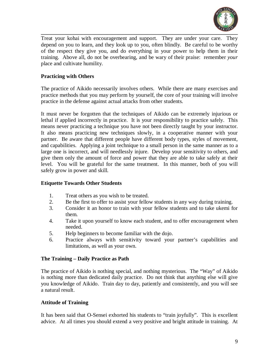

Treat your kohai with encouragement and support. They are under your care. They depend on you to learn, and they look up to you, often blindly. Be careful to be worthy of the respect they give you, and do everything in your power to help them in their training. Above all, do not be overbearing, and be wary of their praise: remember *your* place and cultivate humility.

#### **Practicing with Others**

The practice of Aikido necessarily involves others. While there are many exercises and practice methods that you may perform by yourself, the core of your training will involve practice in the defense against actual attacks from other students.

It must never be forgotten that the techniques of Aikido can be extremely injurious or lethal if applied incorrectly in practice. It is your responsibility to practice safely. This means never practicing a technique you have not been directly taught by your instructor. It also means practicing new techniques slowly, in a cooperative manner with your partner. Be aware that different people have different body types, styles of movement, and capabilities. Applying a joint technique to a small person in the same manner as to a large one is incorrect, and will needlessly injure. Develop your sensitivity to others, and give them only the amount of force and power that they are able to take safely at their level. You will be grateful for the same treatment. In this manner, both of you will safely grow in power and skill.

#### **Etiquette Towards Other Students**

- 1. Treat others as you wish to be treated.
- 2. Be the first to offer to assist your fellow students in any way during training.
- 3. Consider it an honor to train with your fellow students and to take ukemi for them.
- 4. Take it upon yourself to know each student, and to offer encouragement when needed.
- 5. Help beginners to become familiar with the dojo.
- 6. Practice always with sensitivity toward your partner's capabilities and limitations, as well as your own.

#### **The Training – Daily Practice as Path**

The practice of Aikido is nothing special, and nothing mysterious. The "Way" of Aikido is nothing more than dedicated daily practice. Do not think that anything else will give you knowledge of Aikido. Train day to day, patiently and consistently, and you will see a natural result.

#### **Attitude of Training**

It has been said that O-Sensei exhorted his students to "train joyfully". This is excellent advice. At all times you should extend a very positive and bright attitude in training. At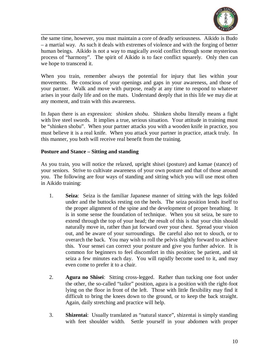

the same time, however, you must maintain a core of deadly seriousness. Aikido is Budo – a martial way. As such it deals with extremes of violence and with the forging of better human beings. Aikido is not a way to magically avoid conflict through some mysterious process of "harmony". The spirit of Aikido is to face conflict squarely. Only then can we hope to transcend it.

When you train, remember always the potential for injury that lies within your movements. Be conscious of your openings and gaps in your awareness, and those of your partner. Walk and move with purpose, ready at any time to respond to whatever arises in your daily life and on the mats. Understand deeply that in this life we may die at any moment, and train with this awareness.

In Japan there is an expression: *shinken shobu*. Shinken shobu literally means a fight with live steel swords. It implies a true, serious situation. Your attitude in training must be "shinken shobu". When your partner attacks you with a wooden knife in practice, you must believe it is a real knife. When you attack your partner in practice, attack truly. In this manner, you both will receive real benefit from the training.

#### **Posture and Stance – Sitting and standing**

As you train, you will notice the relaxed, upright shisei (posture) and kamae (stance) of your seniors. Strive to cultivate awareness of your own posture and that of those around you. The following are four ways of standing and sitting which you will use most often in Aikido training:

- 1. **Seiza**: Seiza is the familiar Japanese manner of sitting with the legs folded under and the buttocks resting on the heels. The seiza position lends itself to the proper alignment of the spine and the development of proper breathing. It is in some sense the foundation of technique. When you sit seiza, be sure to extend through the top of your head; the result of this is that your chin should naturally move in, rather than jut forward over your chest. Spread your vision out, and be aware of your surroundings. Be careful also not to slouch, or to overarch the back. You may wish to roll the pelvis slightly forward to achieve this. Your sensei can correct your posture and give you further advice. It is common for beginners to feel discomfort in this position; be patient, and sit seiza a few minutes each day. You will rapidly become used to it, and may even come to prefer it to a chair.
- 2. **Agura no Shisei**: Sitting cross-legged. Rather than tucking one foot under the other, the so-called "tailor" position, agura is a position with the right-foot lying on the floor in front of the left. Those with little flexibility may find it difficult to bring the knees down to the ground, or to keep the back straight. Again, daily stretching and practice will help.
- 3. **Shizentai**: Usually translated as "natural stance", shizentai is simply standing with feet shoulder width. Settle yourself in your abdomen with proper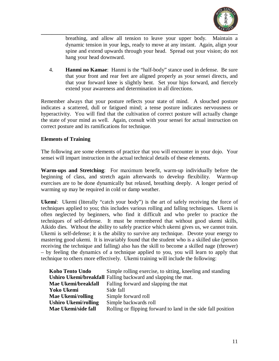

breathing, and allow all tension to leave your upper body. Maintain a dynamic tension in your legs, ready to move at any instant. Again, align your spine and extend upwards through your head. Spread out your vision; do not hang your head downward.

4. **Hanmi no Kamae**: Hanmi is the "half-body" stance used in defense. Be sure that your front and rear feet are aligned properly as your sensei directs, and that your forward knee is slightly bent. Set your hips forward, and fiercely extend your awareness and determination in all directions.

Remember always that your posture reflects your state of mind. A slouched posture indicates a scattered, dull or fatigued mind; a tense posture indicates nervousness or hyperactivity. You will find that the cultivation of correct posture will actually change the state of your mind as well. Again, consult with your sensei for actual instruction on correct posture and its ramifications for technique.

#### **Elements of Training**

The following are some elements of practice that you will encounter in your dojo. Your sensei will impart instruction in the actual technical details of these elements.

**Warm-ups and Stretching**: For maximum benefit, warm-up individually before the beginning of class, and stretch again afterwards to develop flexibility. Warm-up exercises are to be done dynamically but relaxed, breathing deeply. A longer period of warming up may be required in cold or damp weather.

**Ukem***i*: Ukemi (literally "catch your body") is the art of safely receiving the force of techniques applied to you; this includes various rolling and falling techniques. Ukemi is often neglected by beginners, who find it difficult and who prefer to practice the techniques of self-defense. It must be remembered that without good ukemi skills, Aikido dies. Without the ability to safely practice which ukemi gives us, we cannot train. Ukemi is self-defense; it is the ability to survive any technique. Devote your energy to mastering good ukemi. It is invariably found that the student who is a skilled uke (person receiving the technique and falling) also has the skill to become a skilled nage (thrower) – by feeling the dynamics of a technique applied to you, you will learn to apply that technique to others more effectively. Ukemi training will include the following:

| Koho Tento Undo             | Simple rolling exercise, to sitting, kneeling and standing    |
|-----------------------------|---------------------------------------------------------------|
|                             | Ushiro Ukemi/breakfall Falling backward and slapping the mat. |
| Mae Ukemi/breakfall         | Falling forward and slapping the mat                          |
| Yoko Ukemi                  | Side fall                                                     |
| <b>Mae Ukemi/rolling</b>    | Simple forward roll                                           |
| <b>Ushiro Ukemi/rolling</b> | Simple backwards roll                                         |
| Mae Ukemi/side fall         | Rolling or flipping forward to land in the side fall position |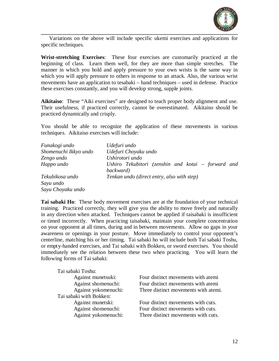

Variations on the above will include specific ukemi exercises and applications for specific techniques.

**Wrist-stretching Exercises**: These four exercises are customarily practiced at the beginning of class. Learn them well, for they are more than simple stretches. The manner in which you hold and apply pressure to your own wrists is the same way in which you will apply pressure to others in response to an attack. Also, the various wrist movements have an application to tesabaki – hand techniques – used in defense. Practice these exercises constantly, and you will develop strong, supple joints.

**Aikitaiso**: These "Aiki exercises" are designed to teach proper body alignment and use. Their usefulness, if practiced correctly, cannot be overestimated. Aikitaiso should be practiced dynamically and crisply.

You should be able to recognize the application of these movements in various techniques. Aikitaiso exercises will include:

| Funakogi undo         | Udefuri undo                                                    |  |
|-----------------------|-----------------------------------------------------------------|--|
| Shomenuchi Ikkyo undo | Udefuri Choyaku undo                                            |  |
| Zengo undo            | Ushirotori undo                                                 |  |
| Happo undo            | Ushiro Tekubitori (zenshin and kotai – forward and<br>backward) |  |
| Tekubikosa undo       | Tenkan undo (direct entry, also with step)                      |  |
| Sayu undo             |                                                                 |  |
| Sayu Choyaku undo     |                                                                 |  |

**Tai sabaki Ho**: These body movement exercises are at the foundation of your technical training. Practiced correctly, they will give you the ability to move freely and naturally in any direction when attacked. Techniques cannot be applied if taisabaki is insufficient or timed incorrectly. When practicing taisabaki, maintain your complete concentration on your opponent at all times, during and in between movements. Allow no gaps in your awareness or openings in your posture. Move immediately to control your opponent's centerline, matching his or her timing. Tai sabaki ho will include both Tai sabaki Toshu, or empty-handed exercises, and Tai sabaki with Bokken, or sword exercises. You should immediately see the relation between these two when practicing. You will learn the following forms of Tai sabaki:

| Tai sabaki Toshu:       |                                      |
|-------------------------|--------------------------------------|
| Against munetsuki:      | Four distinct movements with atemi   |
| Against shomenuchi:     | Four distinct movements with atemi   |
| Against yokomenuchi:    | Three distinct movements with atemi. |
| Tai sabaki with Bokken: |                                      |
| Against munetski:       | Four distinct movements with cuts.   |
| Against shomenuchi:     | Four distinct movements with cuts.   |
| Against yokomenuchi:    | Three distinct movements with cuts.  |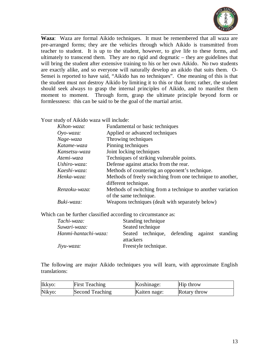

**Waza**: Waza are formal Aikido techniques. It must be remembered that all waza are pre-arranged forms; they are the vehicles through which Aikido is transmitted from teacher to student. It is up to the student, however, to give life to these forms, and ultimately to transcend them. They are no rigid and dogmatic – they are guidelines that will bring the student after extensive training to his or her own Aikido. No two students are exactly alike, and so everyone will naturally develop an aikido that suits them. O-Sensei is reported to have said, "Aikido has no techniques". One meaning of this is that the student must not destroy Aikido by limiting it to this or that form; rather, the student should seek always to grasp the internal principles of Aikido, and to manifest them moment to moment. Through form, grasp the ultimate principle beyond form or formlessness: this can be said to be the goal of the martial artist.

Your study of Aikido waza will include:

| Kihon-waza:   | Fundamental or basic techniques                            |
|---------------|------------------------------------------------------------|
| $O$ yo-waza:  | Applied or advanced techniques                             |
| Nage-waza     | Throwing techniques                                        |
| Katame-waza   | Pinning techniques                                         |
| Kansetsu-waza | Joint locking techniques                                   |
| Atemi-waza    | Techniques of striking vulnerable points.                  |
| Ushiro-waza:  | Defense against attacks from the rear.                     |
| Kaeshi-waza:  | Methods of countering an opponent's technique.             |
| Henka-waza:   | Methods of freely switching from one technique to another, |
|               | different technique.                                       |
| Renzoku-waza: | Methods of switching from a technique to another variation |
|               | of the same technique.                                     |
| Buki-waza:    | Weapons techniques (dealt with separately below)           |

Which can be further classified according to circumstance as:

| Tachi-waza:          | Standing technique                                        |  |  |
|----------------------|-----------------------------------------------------------|--|--|
| Suwari-waza:         | Seated technique                                          |  |  |
| Hanmi-hantachi-waza: | Seated technique, defending against standing<br>attackers |  |  |
| $J$ iyu-waza:        | Freestyle technique.                                      |  |  |

The following are major Aikido techniques you will learn, with approximate English translations:

| Ikkyo: | <b>First Teaching</b> | Koshinage:   | Hip throw    |
|--------|-----------------------|--------------|--------------|
| Nikyo: | Second Teaching       | Kaiten nage: | Rotary throw |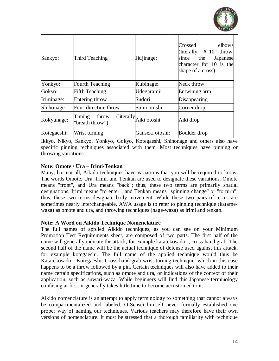

|             |                                    |                         | $\sim$ $-$                                                                                                                  |
|-------------|------------------------------------|-------------------------|-----------------------------------------------------------------------------------------------------------------------------|
| Sankyo:     | Third Teaching                     | Jiujinage:              | Crossed<br>elbows<br>(literally, "# 10" throw,<br>the<br>Japanese<br>since<br>character for 10 is the<br>shape of a cross). |
| Yonkyo:     | <b>Fourth Teaching</b>             | Kubinage:               | Neck throw                                                                                                                  |
| Gokyo:      | <b>Fifth Teaching</b>              | Udegarami:              | Entwining arm                                                                                                               |
| Iriminage:  | Entering throw                     | Sudori:                 | Disappearing                                                                                                                |
| Shihonage:  | Four-direction throw               | Sumi otoshi:            | Corner drop                                                                                                                 |
| Kokyunage:  | Timing<br>throw<br>"breath throw") | (literally Aiki otoshi: | Aiki drop                                                                                                                   |
| Kotegaeshi: | Wrist turning                      | Ganseki otoshi:         | Boulder drop                                                                                                                |

Ikkyo, Nikyo, Sankyo, Yonkyo, Gokyo, Kotegaeshi, Shihonage and others also have specific pinning techniques associated with them. Most techniques have pinning or throwing variations.

#### **Note: Omote / Ura – Irimi/Tenkan**

Many, but not all, Aikido techniques have variations that you will be required to know. The words Omote, Ura, Irimi, and Tenkan are used to designate these variations. Omote means "front", and Ura means "back"; thus, these two terms are primarily spatial designations. Irimi means "to enter", and Tenkan means "spinning change" or "to turn"; thus, these two terms designate body movement. While these two pairs of terms are sometimes nearly interchangeable, AWA usage is to refer to pinning technique (katamewaza) as omote and ura, and throwing techniques (nage-waza) as irimi and tenkan.

#### **Note: A Word on Aikido Technique Nomenclature**

The full names of applied Aikido techniques, as you can see on your Minimum Promotion Test Requirements sheet, are composed of two parts. The first half of the name will generally indicate the attack, for example katatekosadori, cross-hand grab. The second half of the name will be the actual technique of defense used against this attack, for example kotegaeshi. The full name of the applied technique would thus be Katatekosadori Kotegaeshi: Cross-hand grab wrist turning technique, which in this case happens to be a throw followed by a pin. Certain techniques will also have added to their name certain specifications, such as omote and ura, or indications of the context of their application, such as suwari-waza. While beginners will find this Japanese terminology confusing at first, it generally takes little time to become accustomed to it.

Aikido nomenclature is an attempt to apply terminology to something that cannot always be compartmentalized and labeled. O-Sensei himself never formally established one proper way of naming our techniques. Various teachers may therefore have their own versions of nomenclature. It must be stressed that a thorough familiarity with technique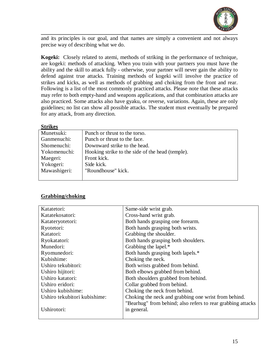

and its principles is our goal, and that names are simply a convenient and not always precise way of describing what we do.

**Kogeki:** Closely related to atemi, methods of striking in the performance of technique, are kogeki: methods of attacking. When you train with your partners you must have the ability and the skill to attack fully - otherwise, your partner will never gain the ability to defend against true attacks. Training methods of kogeki will involve the practice of strikes and kicks, as well as methods of grabbing and choking from the front and rear. Following is a list of the most commonly practiced attacks. Please note that these attacks may refer to both empty-hand and weapons applications, and that combination attacks are also practiced. Some attacks also have gyaku, or reverse, variations. Again, these are only guidelines; no list can show all possible attacks. The student must eventually be prepared for any attack, from any direction.

#### **Strikes**

| Munetsuki:   | Punch or thrust to the torso.                    |
|--------------|--------------------------------------------------|
| Ganmenuchi:  | Punch or thrust to the face.                     |
| Shomenuchi:  | Downward strike to the head.                     |
| Yokomenuchi: | Hooking strike to the side of the head (temple). |
| Maegeri:     | Front kick.                                      |
| Yokogeri:    | Side kick.                                       |
| Mawashigeri: | "Roundhouse" kick.                               |
|              |                                                  |

#### **Grabbing/choking**

| Katatetori:                  | Same-side wrist grab.                                       |
|------------------------------|-------------------------------------------------------------|
| Katatekosatori:              | Cross-hand wrist grab.                                      |
| Katateryotetori:             | Both hands grasping one forearm.                            |
| Ryotetori:                   | Both hands grasping both wrists.                            |
| Katatori:                    | Grabbing the shoulder.                                      |
| Ryokatatori:                 | Both hands grasping both shoulders.                         |
| Munedori:                    | Grabbing the lapel.*                                        |
| Ryomunedori:                 | Both hands grasping both lapels.*                           |
| Kubishime:                   | Choking the neck.                                           |
| Ushiro tekubitori:           | Both wrists grabbed from behind.                            |
| Ushiro hijitori:             | Both elbows grabbed from behind.                            |
| Ushiro katatori:             | Both shoulders grabbed from behind.                         |
| Ushiro eridori:              | Collar grabbed from behind.                                 |
| Ushiro kubishime:            | Choking the neck from behind.                               |
| Ushiro tekubitori kubishime: | Choking the neck and grabbing one wrist from behind.        |
|                              | "Bearhug" from behind; also refers to rear grabbing attacks |
| Ushirotori:                  | in general.                                                 |
|                              |                                                             |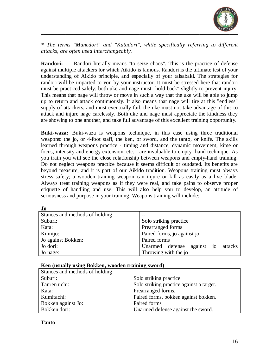

*\* The terms "Munedori" and "Katadori", while specifically referring to different attacks, are often used interchangeably.*

**Randori:** Randori literally means "to seize chaos". This is the practice of defense against multiple attackers for which Aikido is famous. Randori is the ultimate test of your understanding of Aikido principle, and especially of your taisabaki. The strategies for randori will be imparted to you by your instructor. It must be stressed here that randori must be practiced safely: both uke and nage must "hold back" slightly to prevent injury. This means that nage will throw or move in such a way that the uke will be able to jump up to return and attack continuously. It also means that nage will tire at this "endless" supply of attackers, and must eventually fail: the uke must not take advantage of this to attack and injure nage carelessly. Both uke and nage must appreciate the kindness they are showing to one another, and take full advantage of this excellent training opportunity.

**Buki-waza:** Buki-waza is weapons technique, in this case using three traditional weapons: the jo, or 4-foot staff, the ken, or sword, and the tanto, or knife. The skills learned through weapons practice - timing and distance, dynamic movement, kime or focus, intensity and energy extension, etc. - are invaluable to empty -hand technique. As you train you will see the close relationship between weapons and empty-hand training. Do not neglect weapons practice because it seems difficult or outdated. Its benefits are beyond measure, and it is part of our Aikido tradition. Weapons training must always stress safety; a wooden training weapon can injure or kill as easily as a live blade. Always treat training weapons as if they were real, and take pains to observe proper etiquette of handling and use. This will also help you to develop, an attitude of seriousness and purpose in your training. Weapons training will include:

| Jo                             |                                          |
|--------------------------------|------------------------------------------|
| Stances and methods of holding |                                          |
| Suburi:                        | Solo striking practice                   |
| Kata:                          | Prearranged forms                        |
| Kumijo:                        | Paired forms, jo against jo              |
| Jo against Bokken:             | Paired forms                             |
| Jo dori:                       | Unarmed defense<br>against jo<br>attacks |
| Jo nage:                       | Throwing with the jo                     |

#### **Ken (usually using Bokken, wooden training sword)**

| Stances and methods of holding |                                          |
|--------------------------------|------------------------------------------|
| Suburi:                        | Solo striking practice.                  |
| Tanren uchi:                   | Solo striking practice against a target. |
| Kata:                          | Prearranged forms.                       |
| Kumitachi:                     | Paired forms, bokken against bokken.     |
| Bokken against Jo:             | Paired forms                             |
| Bokken dori:                   | Unarmed defense against the sword.       |

#### **Tanto**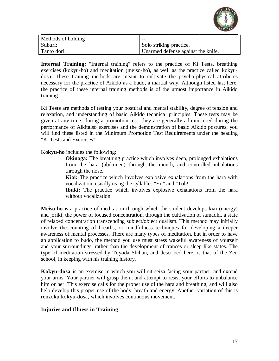

|                    | .                                  |
|--------------------|------------------------------------|
| Methods of holding | $- -$                              |
| Suburi:            | Solo striking practice.            |
| Tanto dori:        | Unarmed defense against the knife. |

**Internal Training:** "Internal training" refers to the practice of Ki Tests, breathing exercises (kokyu-ho) and meditation (meiso-ho), as well as the practice called kokyudosa. These training methods are meant to cultivate the psycho-physical attributes necessary for the practice of Aikido as a budo, a martial way. Although listed last here, the practice of these internal training methods is of the utmost importance in Aikido training.

**Ki Tests** are methods of testing your postural and mental stability, degree of tension and relaxation, and understanding of basic Aikido technical principles. These tests may be given at any time; during a promotion test, they are generally administered during the performance of Aikitaiso exercises and the demonstration of basic Aikido postures; you will find these listed in the Minimum Promotion Test Requirements under the heading "Ki Tests and Exercises".

#### **Kokyu-ho** includes the following:

**Okinaga:** The breathing practice which involves deep, prolonged exhalations from the hara (abdomen) through the mouth, and controlled inhalations through the nose.

**Kiai:** The practice which involves explosive exhalations from the hara with vocalization, usually using the syllables "Ei!" and "Toh!".

**Ibuki:** The practice which involves explosive exhalations from the hara without vocalization.

**Meiso-ho** is a practice of meditation through which the student develops kiai (energy) and joriki, the power of focused concentration, through the cultivation of samadhi, a state of relaxed concentration transcending subject/object dualism. This method may initially involve the counting of breaths, or mindfulness techniques for developing a deeper awareness of mental processes. There are many types of meditation, but in order to have an application to budo, the method you use must stress wakeful awareness of yourself and your surroundings, rather than the development of trances or sleep-like states. The type of meditation stressed by Toyoda Shihan, and described here, is that of the Zen school, in keeping with his training history.

**Kokyu-dosa** is an exercise in which you will sit seiza facing your partner, and extend your arms. Your partner will grasp them, and attempt to resist your efforts to unbalance him or her. This exercise calls for the proper use of the hara and breathing, and will also help develop this proper use of the body, breath and energy. Another variation of this is renzoku kokyu-dosa, which involves continuous movement.

#### **Injuries and Illness in Training**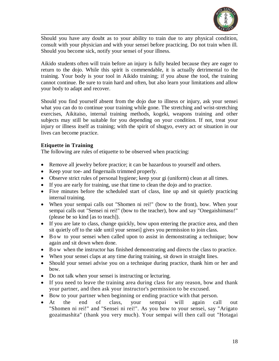

Should you have any doubt as to your ability to train due to any physical condition, consult with your physician and with your sensei before practicing. Do not train when ill. Should you become sick, notify your sensei of your illness.

Aikido students often will train before an injury is fully healed because they are eager to return to the dojo. While this spirit is commendable, it is actually detrimental to the training. Your body is your tool in Aikido training; if you abuse the tool, the training cannot continue. Be sure to train hard and often, but also learn your limitations and allow your body to adapt and recover.

Should you find yourself absent from the dojo due to illness or injury, ask your sensei what you can do to continue your training while gone. The stretching and wrist-stretching exercises, Aikitaiso, internal training methods, kogeki, weapons training and other subjects may still be suitable for you depending on your condition. If not, treat your injury or illness itself as training; with the spirit of shugyo, every act or situation in our lives can become practice.

#### **Etiquette in Training**

The following are rules of etiquette to be observed when practicing:

- Remove all jewelry before practice; it can be hazardous to yourself and others.
- Keep your toe- and fingernails trimmed properly.
- Observe strict rules of personal hygiene; keep your gi (uniform) clean at all times.
- If you are early for training, use that time to clean the dojo and to practice.
- Five minutes before the scheduled start of class, line up and sit quietly practicing internal training.
- When your sempai calls out "Shomen ni rei!" (bow to the front), bow. When your sempai calls out "Sensei ni rei!" (bow to the teacher), bow and say "Onegaishimasu!" (please be so kind [as to teach]).
- If you are late to class, change quickly, bow upon entering the practice area, and then sit quietly off to the side until your sensei] gives you permission to join class.
- Bow to your sensei when called upon to assist in demonstrating a technique; bow again and sit down when done.
- Bow when the instructor has finished demonstrating and directs the class to practice.
- When your sensei claps at any time during training, sit down in straight lines.
- Should your sensei advise you on a technique during practice, thank him or her and bow.
- Do not talk when your sensei is instructing or lecturing.
- If you need to leave the training area during class for any reason, bow and thank your partner, and then ask your instructor's permission to be excused.
- Bow to your partner when beginning or ending practice with that person.
- At the end of class, your sempai will again call out "Shomen ni rei!" and "Sensei ni rei!". As you bow to your sensei, say "Arigato gozaimashita" (thank you very much). Your sempai will then call out "Hotagai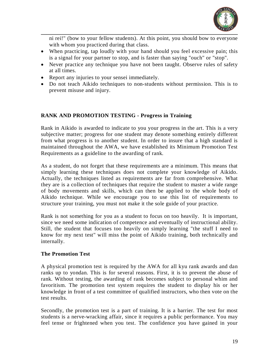

ni rei!" (bow to your fellow students). At this point, you should bow to everyone with whom you practiced during that class.

- When practicing, tap loudly with your hand should you feel excessive pain; this is a signal for your partner to stop, and is faster than saying "ouch" or "stop".
- Never practice any technique you have not been taught. Observe rules of safety at all times.
- Report any injuries to your sensei immediately.
- Do not teach Aikido techniques to non-students without permission. This is to prevent misuse and injury.

#### **RANK AND PROMOTION TESTING - Progress in Training**

Rank in Aikido is awarded to indicate to you your progress in the art. This is a very subjective matter; progress for one student may denote something entirely different from what progress is to another student. In order to insure that a high standard is maintained throughout the AWA, we have established its Minimum Promotion Test Requirements as a guideline to the awarding of rank.

As a student, do not forget that these requirements are a minimum. This means that simply learning these techniques does not complete your knowledge of Aikido. Actually, the techniques listed as requirements are far from comprehensive. What they are is a collection of techniques that require the student to master a wide range of body movements and skills, which can then be applied to the whole body of Aikido technique. While we encourage you to use this list of requirements to structure your training, you must not make it the sole guide of your practice.

Rank is not something for you as a student to focus on too heavily. It is important, since we need some indication of competence and eventually of instructional ability. Still, the student that focuses too heavily on simply learning "the stuff I need to know for my next test" will miss the point of Aikido training, both technically and internally.

#### **The Promotion Test**

A physical promotion test is required by the AWA for all kyu rank awards and dan ranks up to yondan. This is for several reasons. First, it is to prevent the abuse of rank. Without testing, the awarding of rank becomes subject to personal whim and favoritism. The promotion test system requires the student to display his or her knowledge in front of a test committee of qualified instructors, who then vote on the test results.

Secondly, the promotion test is a part of training. It is a barrier. The test for most students is a nerve-wracking affair, since it requires a public performance. You may feel tense or frightened when you test. The confidence you have gained in your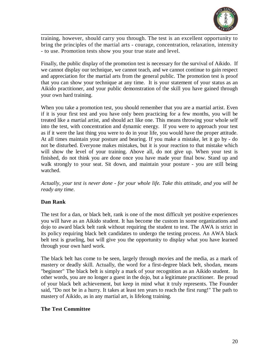

training, however, should carry you through. The test is an excellent opportunity to bring the principles of the martial arts - courage, concentration, relaxation, intensity - to use. Promotion tests show you your true state and level.

Finally, the public display of the promotion test is necessary for the survival of Aikido. If we cannot display our technique, we cannot teach, and we cannot continue to gain respect and appreciation for the martial arts from the general public. The promotion test is proof that you can show your technique at any time. It is your statement of your status as an Aikido practitioner, and your public demonstration of the skill you have gained through your own hard training.

When you take a promotion test, you should remember that you are a martial artist. Even if it is your first test and you have only been practicing for a few months, you will be treated like a martial artist, and should act like one. This means throwing your whole self into the test, with concentration and dynamic energy. If you were to approach your test as if it were the last thing you were to do in your life, you would have the proper attitude. At all times maintain your posture and bearing. If you make a mistake, let it go by - do not be disturbed. Everyone makes mistakes, but it is your reaction to that mistake which will show the level of your training. Above all, do not give up. When your test is finished, do not think you are done once you have made your final bow. Stand up and walk strongly to your seat. Sit down, and maintain your posture - you are still being watched.

*Actually, your test is never done - for your whole life. Take this attitude, and you will be ready any time*.

#### **Dan Rank**

The test for a dan, or black belt, rank is one of the most difficult yet positive experiences you will have as an Aikido student. It has become the custom in some organizations and dojo to award black belt rank without requiring the student to test. The AWA is strict in its policy requiring black belt candidates to undergo the testing process. An AWA black belt test is grueling, but will give you the opportunity to display what you have learned through your own hard work.

The black belt has come to be seen, largely through movies and the media, as a mark of mastery or deadly skill. Actually, the word for a first-degree black belt, shodan, means "beginner" The black belt is simply a mark of your recognition as an Aikido student. In other words, you are no longer a guest in the dojo, but a legitimate practitioner. Be proud of your black belt achievement, but keep in mind what it truly represents. The Founder said, "Do not be in a hurry. It takes at least ten years to reach the first rung!" The path to mastery of Aikido, as in any martial art, is lifelong training.

#### **The Test Committee**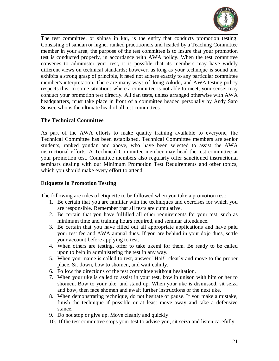

The test committee, or shinsa in kai, is the entity that conducts promotion testing. Consisting of sandan or higher ranked practitioners and headed by a Teaching Committee member in your area, the purpose of the test committee is to insure that your promotion test is conducted properly, in accordance with AWA policy. When the test committee convenes to administer your test, it is possible that its members may have widely different views on technical standards; however, as long as your technique is sound and exhibits a strong grasp of principle, it need not adhere exactly to any particular committee member's interpretation. There are many ways of doing Aikido, and AWA testing policy respects this. In some situations where a committee is not able to meet, your sensei may conduct your promotion test directly. All dan tests, unless arranged otherwise with AWA headquarters, must take place in front of a committee headed personally by Andy Sato Sensei, who is the ultimate head of all test committees.

#### **The Technical Committee**

As part of the AWA efforts to make quality training available to everyone, the Technical Committee has been established. Technical Committee members are senior students, ranked yondan and above, who have been selected to assist the AWA instructional efforts. A Technical Committee member may head the test committee at your promotion test. Committee members also regularly offer sanctioned instructional seminars dealing with our Minimum Promotion Test Requirements and other topics, which you should make every effort to attend.

#### **Etiquette in Promotion Testing**

The following are rules of etiquette to be followed when you take a promotion test:

- 1. Be certain that you are familiar with the techniques and exercises for which you are responsible. Remember that all tests are cumulative.
- 2. Be certain that you have fulfilled all other requirements for your test, such as minimum time and training hours required, and seminar attendance.
- 3. Be certain that you have filled out all appropriate applications and have paid your test fee and AWA annual dues. If you are behind in your dojo dues, settle your account before applying to test.
- 4. When others are testing, offer to take ukemi for them. Be ready to be called upon to help in administering the test in any way.
- 5. When your name is called to test, answer "Hai!" clearly and move to the proper place. Sit down, bow to shomen, and wait calmly.
- 6. Follow the directions of the test committee without hesitation.
- 7. When your uke is called to assist in your test, bow in unison with him or her to shomen. Bow to your uke, and stand up. When your uke is dismissed, sit seiza and bow, then face shomen and await further instructions or the next uke.
- 8. When demonstrating technique, do not hesitate or pause. If you make a mistake, finish the technique if possible or at least move away and take a defensive stance.
- 9. Do not stop or give up. Move cleanly and quickly.
- 10. If the test committee stops your test to advise you, sit seiza and listen carefully.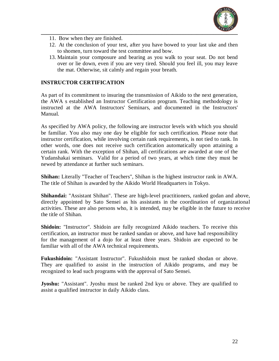

- 11. Bow when they are finished.
- 12. At the conclusion of your test, after you have bowed to your last uke and then to shomen, turn toward the test committee and bow.
- 13. Maintain your composure and bearing as you walk to your seat. Do not bend over or lie down, even if you are very tired. Should you feel ill, you may leave the mat. Otherwise, sit calmly and regain your breath.

#### **INSTRUCTOR CERTIFICATION**

As part of its commitment to insuring the transmission of Aikido to the next generation, the AWA s established an Instructor Certification program. Teaching methodology is instructed at the AWA Instructors' Seminars, and documented in the Instructors' Manual.

As specified by AWA policy, the following are instructor levels with which you should be familiar. You also may one day be eligible for such certification. Please note that instructor certification, while involving certain rank requirements, is not tied to rank. In other words, one does not receive such certification automatically upon attaining a certain rank. With the exception of Shihan, all certifications are awarded at one of the Yudanshakai seminars. Valid for a period of two years, at which time they must be newed by attendance at further such seminars.

**Shihan:** Literally "Teacher of Teachers", Shihan is the highest instructor rank in AWA. The title of Shihan is awarded by the Aikido World Headquarters in Tokyo.

**Shihandai:** "Assistant Shihan". These are high-level practitioners, ranked godan and above, directly appointed by Sato Sensei as his assistants in the coordination of organizational activities. These are also persons who, it is intended, may be eligible in the future to receive the title of Shihan.

**Shidoin:** "Instructor". Shidoin are fully recognized Aikido teachers. To receive this certification, an instructor must be ranked sandan or above, and have had responsibility for the management of a dojo for at least three years. Shidoin are expected to be familiar with all of the AWA technical requirements.

**Fukushidoin:** "Assistant Instructor". Fukushidoin must be ranked shodan or above. They are qualified to assist in the instruction of Aikido programs, and may be recognized to lead such programs with the approval of Sato Sensei.

**Jyoshu:** "Assistant". Jyoshu must be ranked 2nd kyu or above. They are qualified to assist a qualified instructor in daily Aikido class.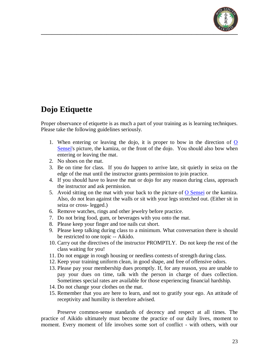

### **Dojo Etiquette**

Proper observance of etiquette is as much a part of your training as is learning techniques. Please take the following guidelines seriously.

- 1. When entering or leaving the dojo, it is proper to bow in the direction of [O](http://www.aikidofaq.com/history/osensei.html)  [Sensei's](http://www.aikidofaq.com/history/osensei.html) picture, the kamiza, or the front of the dojo. You should also bow when entering or leaving the mat.
- 2. No shoes on the mat.
- 3. Be on time for class. If you do happen to arrive late, sit quietly in seiza on the edge of the mat until the instructor grants permission to join practice.
- 4. If you should have to leave the mat or dojo for any reason during class, approach the instructor and ask permission.
- 5. Avoid sitting on the mat with your back to the picture of  $\overline{O}$  Sensei or the kamiza. Also, do not lean against the walls or sit with your legs stretched out. (Either sit in seiza or cross- legged.)
- 6. Remove watches, rings and other jewelry before practice.
- 7. Do not bring food, gum, or beverages with you onto the mat.
- 8. Please keep your finger and toe nails cut short.
- 9. Please keep talking during class to a minimum. What conversation there is should be restricted to one topic -- Aikido.
- 10. Carry out the directives of the instructor PROMPTLY. Do not keep the rest of the class waiting for you!
- 11. Do not engage in rough housing or needless contests of strength during class.
- 12. Keep your training uniform clean, in good shape, and free of offensive odors.
- 13. Please pay your membership dues promptly. If, for any reason, you are unable to pay your dues on time, talk with the person in charge of dues collection. Sometimes special rates are available for those experiencing financial hardship.
- 14. Do not change your clothes on the mat.
- 15. Remember that you are here to learn, and not to gratify your ego. An attitude of receptivity and humility is therefore advised.

Preserve common-sense standards of decency and respect at all times. The practice of Aikido ultimately must become the practice of our daily lives, moment to moment. Every moment of life involves some sort of conflict - with others, with our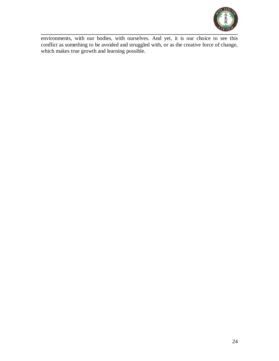

environments, with our bodies, with ourselves. And yet, it is our choice to see this conflict as something to be avoided and struggled with, or as the creative force of change, which makes true growth and learning possible.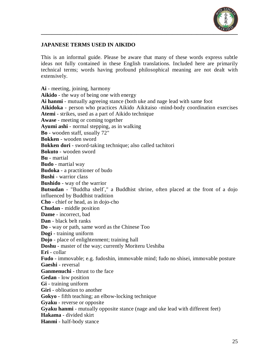

#### **JAPANESE TERMS USED IN AIKIDO**

This is an informal guide. Please be aware that many of these words express subtle ideas not fully contained in these English translations. Included here are primarily technical terms; words having profound philosophical meaning are not dealt with extensively.

**Ai** - meeting, joining, harmony **Aikido** - the way of being one with energy **Ai hanmi** - mutually agreeing stance (both uke and nage lead with same foot **Aikidoka** - person who practices Aikido Aikitaiso -mind-body coordination exercises **Atemi** - strikes, used as a part of Aikido technique **Awase** - meeting or coming together **Ayumi ashi** - normal stepping, as in walking **Bo** - wooden staff, usually 72" **Bokken** - wooden sword **Bokken dori** - sword-taking technique; also called tachitori **Bokuto** - wooden sword **Bu** - martial **Budo** - martial way **Budoka** - a practitioner of budo **Bushi** - warrior class **Bushido** - way of the warrior Butsudan - "Buddha shelf," a Buddhist shrine, often placed at the front of a dojo influenced by Buddhist tradition **Cho** - chief or head, as in dojo-cho **Chudan** - middle position **Dame** - incorrect, bad **Dan** - black belt ranks **Do** - way or path, same word as the Chinese Too **Dogi** - training uniform **Dojo** - place of enlightenment; training hall **Doshu** - master of the way; currently Moriteru Ueshiba **Eri** - collar **Fudo** - immovable; e.g. fudoshin, immovable mind; fudo no shisei, immovable posture **Gaeshi** - reversal **Ganmenuchi** - thrust to the face **Gedan** - low position **Gi** - training uniform **Giri** - oblioation to another **Gokyo** - fifth teaching; an elbow-locking technique **Gyaku** - reverse or opposite **Gyaku hanmi** - mutually opposite stance (nage and uke lead with different feet) **Hakama** - divided skirt **Hanmi** - half-body stance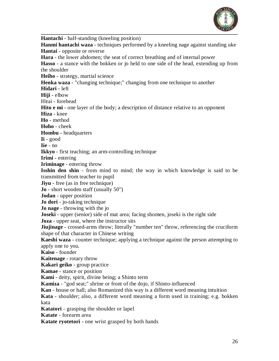

**\_\_\_\_\_\_\_\_\_\_\_\_\_\_\_\_\_\_\_\_\_\_\_\_\_\_\_\_\_\_\_\_\_\_\_\_\_\_\_\_\_\_\_\_\_\_\_\_\_\_\_\_\_\_\_\_\_\_\_\_\_\_\_\_\_\_\_\_\_\_\_\_ Hantachi** - half-standing (kneeling position) **Hanmi hantachi waza** - techniques performed by a kneeling nage against standing uke **Hantai** - opposite or reverse **Hara** - the lower abdomen; the seat of correct breathing and of internal power **Hasso** - a stance with the bokken or jo held to one side of the head, extending up from the shoulder **Heiho** - strategy, martial science **Henka waza** - "changing technique;" changing from one technique to another **Hidari** - left **Hiji** - elbow Hitai - forehead **Hito e mi** - one layer of the body; a description of distance relative to an opponent **Hiza** - knee **Ho** - method **Hoho** - cheek **Hombu** - headquarters **Ii** - good **Iie** - no **Ikkyo** - first teaching; an arm-controlling technique **Irimi** - entering **Iriminage** - entering throw **Isshin den shin** - from mind to mind; the way in which knowledge is said to be transmitted from teacher to pupil **Jiyu** - free (as in free technique) **Jo** - short wooden staff (usually 50") **Jodan** - upper position **Jo dori** - jo-taking technique **Jo nage** - throwing with the jo **Joseki** - upper (senior) side of mat area; facing shomen, joseki is the right side **Joza** - upper seat, where the instructor sits **Jiujinage** - crossed-arms throw; literally "number ten" throw, referencing the cruciform shape of that character in Chinese writing **Kaeshi waza** - counter technique; applying a technique against the person attempting to apply one to you. **Kaiso** - founder **Kaitenage** - rotary throw **Kakari geiko** - group practice **Kamae** - stance or position **Kami** - deity, spirit, divine being; a Shinto term **Kamiza** - "god seat;" shrine or front of the dojo, if Shinto-influenced **Kan** - house or hall; also Romanized this way is a different word meaning intuition **Kata** - shoulder; also, a different word meaning a form used in training; e.g. bokken kata **Katatori** - grasping the shoulder or lapel **Katate** - forearm area **Katate ryotetori** - one wrist grasped by both hands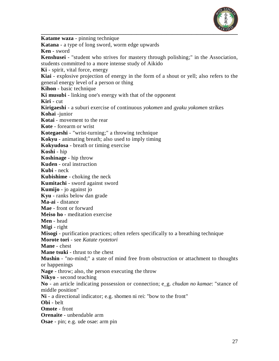

**Katame waza** - pinning technique **Katana** - a type of long sword, worm edge upwards **Ken** - sword **Kenshusei** - "student who strives for mastery through polishing;" in the Association, students committed to a more intense study of Aikido **Ki** - spirit, vital force, energy **Kiai** - explosive projection of energy in the form of a shout or yell; also refers to the general energy level of a person or thing **Kihon** - basic technique **Ki musubi** - linking one's energy with that of the opponent **Kiri** - cut **Kirigaeshi** - a suburi exercise of continuous *yokomen* and *gyaku yokomen* strikes **Kohai** -junior **Kotai** - movement to the rear **Kote** - forearm or wrist **Kotegaeshi** - "wrist-turning;" a throwing technique **Kokyu** - animating breath; also used to imply timing **Kokyudosa** - breath or timing exercise **Koshi** - hip **Koshinage** - hip throw **Kuden** - oral instruction **Kubi** - neck **Kubishime** - choking the neck **Kumitachi** - sword against sword **Kumijo** - jo against jo **Kyu** - ranks below dan grade **Ma-ai** - distance **Mae** - front or forward **Meiso ho** - meditation exercise **Men** - head **Migi** - right **Misogi** - purification practices; often refers specifically to a breathing technique **Morote tori** - see *Katate ryotetori* **Mane** - chest **Mane tsuki** - thrust to the chest **Mushin** - "no-mind;" a state of mind free from obstruction or attachment to thoughts or happenings **Nage** - throw; also, the person executing the throw **Nikyo** - second teaching **No** - an article indicating possession or connection; e\_g. *chudan no kamae*: "stance of middle position" **Ni** - a directional indicator; e.g. shomen ni rei: "bow to the front" **Obi** - belt **Omote** - front **Orenaite** - unbendable arm **Osae** - pin; e.g. ude osae: arm pin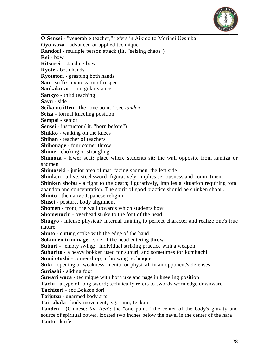

**\_\_\_\_\_\_\_\_\_\_\_\_\_\_\_\_\_\_\_\_\_\_\_\_\_\_\_\_\_\_\_\_\_\_\_\_\_\_\_\_\_\_\_\_\_\_\_\_\_\_\_\_\_\_\_\_\_\_\_\_\_\_\_\_\_\_\_\_\_\_\_\_ O'Sensei** - "venerable teacher;" refers in Aikido to Morihei Ueshiba **Oyo waza** - advanced or applied technique **Randori** - multiple person attack (lit. "seizing chaos") **Rei** - bow **Ritsurei** - standing bow **Ryote** - both hands **Ryotetori** - grasping both hands **San** - suffix, expression of respect **Sankakutai** - triangular stance **Sankyo** - third teaching **Sayu** - side **Seika no itten** - the "one point;" see *tanden*  **Seiza** - formal kneeling position **Sempai** - senior **Sensei** - instructor (lit. "born before") **Shikko** - walking on the knees **Shihan** - teacher of teachers **Shihonage** - four corner throw **Shime** - choking or strangling **Shimoza** - lower seat; place where students sit; the wall opposite from kamiza or shomen **Shimoseki** - junior area of mat; facing shomen, the left side **Shinken** - a live, steel sword; figuratively, implies seriousness and commitment **Shinken shobu** - a fight to the death; figuratively, implies a situation requiring total abandon and concentration. The spirit of good practice should be shinken shobu. **Shinto** - the native Japanese religion **Shisei** - posture, body alignment **Shomen** - front; the wall towards which students bow **Shomenuchi** - overhead strike to the font of the head **Shugyo** - intense physical/ internal training to perfect character and realize one's true nature **Shuto** - cutting strike with the edge of the hand **Sokumen iriminage** - side of the head entering throw **Suburi** - "empty swing;" individual striking practice with a weapon **Suburito** - a heavy bokken used for suburi, and sometimes for kumitachi **Sumi otoshi** - corner drop, a throwing technique **Suki** - opening or weakness, mental or physical, in an opponent's defenses **Suriashi** - sliding foot **Suwari waza** - technique with both uke and nage in kneeling position **Tachi** - a type of long sword; technically refers to swords worn edge downward **Tachitori** - see Bokken dori **Taijutsu** - unarmed body arts **Tai sabaki** - body movement; e.g. irimi, tenkan **Tanden** - (Chinese: *tan tien*); the "one point," the center of the body's gravity and source of spiritual power, located two inches below the navel in the center of the hara **Tanto** - knife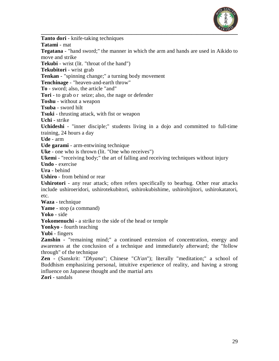

**\_\_\_\_\_\_\_\_\_\_\_\_\_\_\_\_\_\_\_\_\_\_\_\_\_\_\_\_\_\_\_\_\_\_\_\_\_\_\_\_\_\_\_\_\_\_\_\_\_\_\_\_\_\_\_\_\_\_\_\_\_\_\_\_\_\_\_\_\_\_\_\_ Tanto dori** - knife-taking techniques **Tatami** - mat **Tegatana** - "hand sword;" the manner in which the arm and hands are used in Aikido to move and strike **Tekubi** - wrist (lit. "throat of the hand") **Tekubitori** - wrist grab **Tenkan** - "spinning change;" a turning body movement **Tenchinage** - "heaven-and-earth throw" **To** - sword; also, the article "and" **Tori** - to grab or seize; also, the nage or defender **Toshu** - without a weapon **Tsuba** - sword hilt **Tsuki** - thrusting attack, with fist or weapon **Uchi** - strike **Uchideshi** - "inner disciple;" students living in a dojo and committed to full-time training, 24 hours a day **Ude** - arm **Ude garami** - arm-entwining technique **Uke** - one who is thrown (lit. "One who receives") **Ukemi** - "receiving body;" the art of falling and receiving techniques without injury **Undo** - exercise **Ura** - behind **Ushiro** - from behind or rear **Ushirotori** - any rear attack; often refers specifically to bearhug. Other rear attacks include ushiroeridori, ushirotekubitori, ushirokubishime, ushirohijitori, ushirokatatori, etc. **Waza** - technique

**Yame** - stop (a command)

**Yoko** - side

**Yokomenuchi** - a strike to the side of the head or temple

**Yonkyo** - fourth teaching

**Yubi** - fingers

**Zanshin** - "remaining mind;" a continued extension of concentration, energy and awareness at the conclusion of a technique and immediately afterward; the "follow through" of the technique

**Zen** - (Sanskrit: "*Dhyana*"; Chinese "*Ch'an*"); literally "meditation;" a school of Buddhism emphasizing personal, intuitive experience of reality, and having a strong influence on Japanese thought and the martial arts

**Zori** - sandals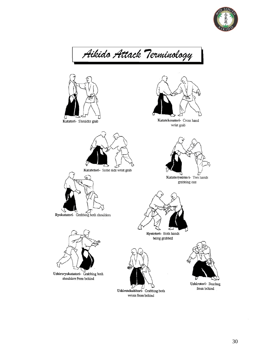